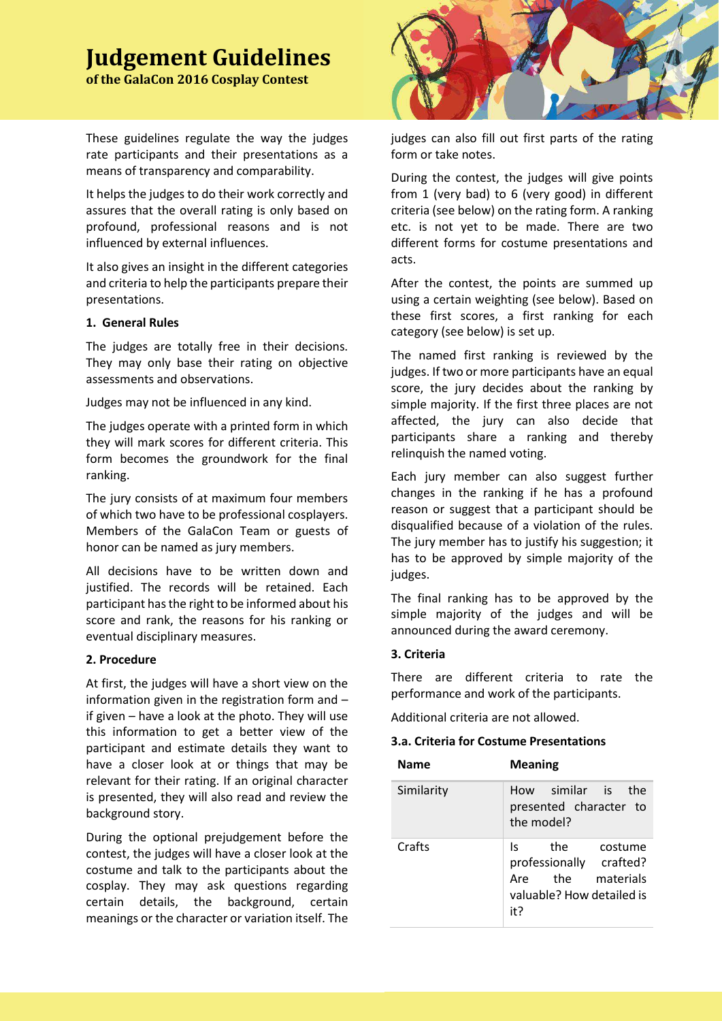# **Judgement Guidelines**

**of the GalaCon 2016 Cosplay Contest** 

These guidelines regulate the way the judges rate participants and their presentations as a means of transparency and comparability.

It helps the judges to do their work correctly and assures that the overall rating is only based on profound, professional reasons and is not influenced by external influences.

It also gives an insight in the different categories and criteria to help the participants prepare their presentations.

## **1. General Rules**

The judges are totally free in their decisions. They may only base their rating on objective assessments and observations.

Judges may not be influenced in any kind.

The judges operate with a printed form in which they will mark scores for different criteria. This form becomes the groundwork for the final ranking.

The jury consists of at maximum four members of which two have to be professional cosplayers. Members of the GalaCon Team or guests of honor can be named as jury members.

All decisions have to be written down and justified. The records will be retained. Each participant has the right to be informed about his score and rank, the reasons for his ranking or eventual disciplinary measures.

# **2. Procedure**

At first, the judges will have a short view on the information given in the registration form and – if given – have a look at the photo. They will use this information to get a better view of the participant and estimate details they want to have a closer look at or things that may be relevant for their rating. If an original character is presented, they will also read and review the background story.

During the optional prejudgement before the contest, the judges will have a closer look at the costume and talk to the participants about the cosplay. They may ask questions regarding certain details, the background, certain meanings or the character or variation itself. The



judges can also fill out first parts of the rating form or take notes.

During the contest, the judges will give points from 1 (very bad) to 6 (very good) in different criteria (see below) on the rating form. A ranking etc. is not yet to be made. There are two different forms for costume presentations and acts.

After the contest, the points are summed up using a certain weighting (see below). Based on these first scores, a first ranking for each category (see below) is set up.

The named first ranking is reviewed by the judges. If two or more participants have an equal score, the jury decides about the ranking by simple majority. If the first three places are not affected, the jury can also decide that participants share a ranking and thereby relinquish the named voting.

Each jury member can also suggest further changes in the ranking if he has a profound reason or suggest that a participant should be disqualified because of a violation of the rules. The jury member has to justify his suggestion; it has to be approved by simple majority of the judges.

The final ranking has to be approved by the simple majority of the judges and will be announced during the award ceremony.

# **3. Criteria**

There are different criteria to rate the performance and work of the participants.

Additional criteria are not allowed.

# **3.a. Criteria for Costume Presentations**

| <b>Name</b> | <b>Meaning</b>                                                                                                  |
|-------------|-----------------------------------------------------------------------------------------------------------------|
| Similarity  | How similar is the<br>presented character to<br>the model?                                                      |
| Crafts      | the<br>costume<br>ls.<br>professionally crafted?<br>the<br>materials<br>Are<br>valuable? How detailed is<br>it? |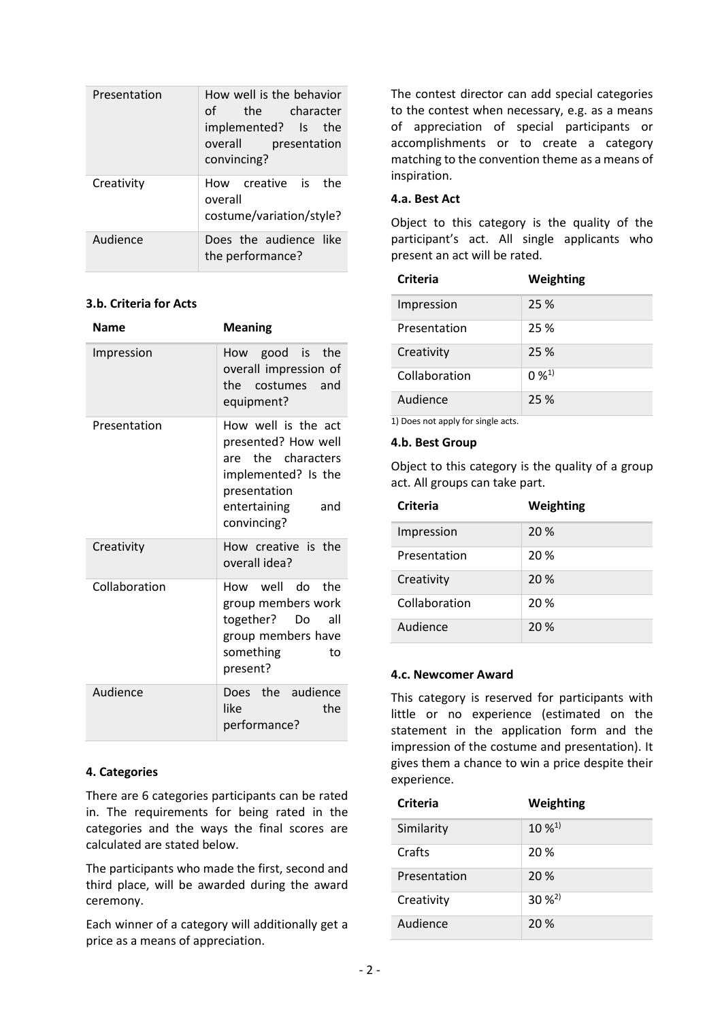| Presentation | How well is the behavior<br>of _<br>the character<br>implemented? Is the<br>overall presentation<br>convincing? |
|--------------|-----------------------------------------------------------------------------------------------------------------|
| Creativity   | How creative is<br>the<br>overall<br>costume/variation/style?                                                   |
| Audience     | Does the audience like<br>the performance?                                                                      |

# **3.b. Criteria for Acts**

| Name          | <b>Meaning</b>                                                                                                                                |
|---------------|-----------------------------------------------------------------------------------------------------------------------------------------------|
| Impression    | How good is the<br>overall impression of<br>the costumes and<br>equipment?                                                                    |
| Presentation  | How well is the act<br>presented? How well<br>are the characters<br>implemented? Is the<br>presentation<br>entertaining<br>and<br>convincing? |
| Creativity    | How creative is the<br>overall idea?                                                                                                          |
| Collaboration | How well do the<br>group members work<br>together? Do<br>all<br>group members have<br>something<br>to<br>present?                             |
| Audience      | Does the audience<br>like<br>the<br>performance?                                                                                              |

# **4. Categories**

There are 6 categories participants can be rated in. The requirements for being rated in the categories and the ways the final scores are calculated are stated below.

The participants who made the first, second and third place, will be awarded during the award ceremony.

Each winner of a category will additionally get a price as a means of appreciation.

The contest director can add special categories to the contest when necessary, e.g. as a means of appreciation of special participants or accomplishments or to create a category matching to the convention theme as a means of inspiration.

## **4.a. Best Act**

Object to this category is the quality of the participant's act. All single applicants who present an act will be rated.

| Criteria      | Weighting |
|---------------|-----------|
| Impression    | 25 %      |
| Presentation  | 25 %      |
| Creativity    | 25 %      |
| Collaboration | $0\%^{1}$ |
| Audience      | 25 %      |

1) Does not apply for single acts.

## **4.b. Best Group**

Object to this category is the quality of a group act. All groups can take part.

| Criteria      | Weighting |
|---------------|-----------|
| Impression    | 20 %      |
| Presentation  | 20 %      |
| Creativity    | 20 %      |
| Collaboration | 20 %      |
| Audience      | 20%       |

## **4.c. Newcomer Award**

This category is reserved for participants with little or no experience (estimated on the statement in the application form and the impression of the costume and presentation). It gives them a chance to win a price despite their experience.

| <b>Criteria</b> | Weighting             |
|-----------------|-----------------------|
| Similarity      | $10\,\mathrm{W}^{1}$  |
| Crafts          | 20 %                  |
| Presentation    | 20 %                  |
| Creativity      | $30 \%$ <sup>2)</sup> |
| Audience        | 20 %                  |